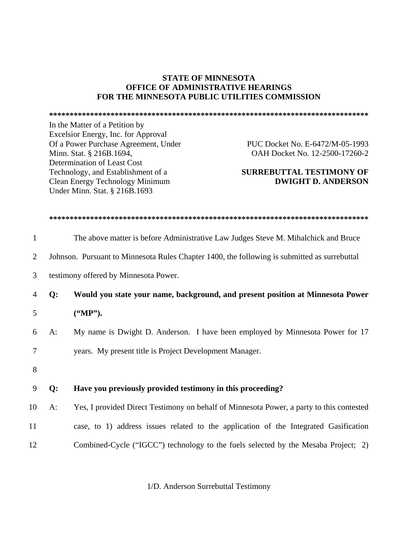### **STATE OF MINNESOTA OFFICE OF ADMINISTRATIVE HEARINGS FOR THE MINNESOTA PUBLIC UTILITIES COMMISSION**

**\*\*\*\*\*\*\*\*\*\*\*\*\*\*\*\*\*\*\*\*\*\*\*\*\*\*\*\*\*\*\*\*\*\*\*\*\*\*\*\*\*\*\*\*\*\*\*\*\*\*\*\*\*\*\*\*\*\*\*\*\*\*\*\*\*\*\*\*\*\*\*\*\*\*\*\*\*\*** In the Matter of a Petition by Excelsior Energy, Inc. for Approval

Of a Power Purchase Agreement, Under Minn. Stat. § 216B.1694, Determination of Least Cost Technology, and Establishment of a Clean Energy Technology Minimum Under Minn. Stat. § 216B.1693

PUC Docket No. E-6472/M-05-1993 OAH Docket No. 12-2500-17260-2

### **SURREBUTTAL TESTIMONY OF DWIGHT D. ANDERSON**

#### **\*\*\*\*\*\*\*\*\*\*\*\*\*\*\*\*\*\*\*\*\*\*\*\*\*\*\*\*\*\*\*\*\*\*\*\*\*\*\*\*\*\*\*\*\*\*\*\*\*\*\*\*\*\*\*\*\*\*\*\*\*\*\*\*\*\*\*\*\*\*\*\*\*\*\*\*\*\***

| 1  |       | The above matter is before Administrative Law Judges Steve M. Mihalchick and Bruce           |
|----|-------|----------------------------------------------------------------------------------------------|
| 2  |       | Johnson. Pursuant to Minnesota Rules Chapter 1400, the following is submitted as surrebuttal |
| 3  |       | testimony offered by Minnesota Power.                                                        |
| 4  | $Q$ : | Would you state your name, background, and present position at Minnesota Power               |
| 5  |       | $(^{\circ}MP$ ").                                                                            |
| 6  | A:    | My name is Dwight D. Anderson. I have been employed by Minnesota Power for 17                |
| 7  |       | years. My present title is Project Development Manager.                                      |
| 8  |       |                                                                                              |
| 9  | Q:    | Have you previously provided testimony in this proceeding?                                   |
| 10 | A:    | Yes, I provided Direct Testimony on behalf of Minnesota Power, a party to this contested     |
| 11 |       | case, to 1) address issues related to the application of the Integrated Gasification         |
| 12 |       | Combined-Cycle ("IGCC") technology to the fuels selected by the Mesaba Project; 2)           |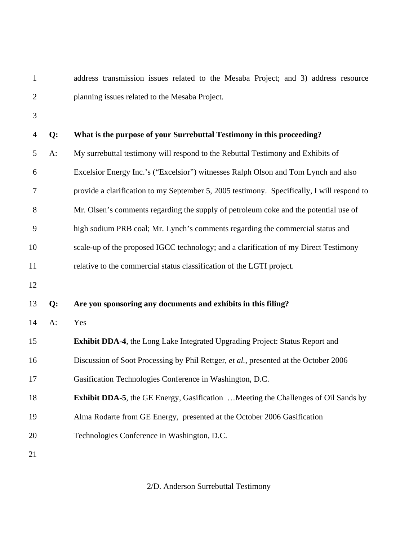1 address transmission issues related to the Mesaba Project; and 3) address resource 2 planning issues related to the Mesaba Project.

3

| 4      | Q:    | What is the purpose of your Surrebuttal Testimony in this proceeding?                      |
|--------|-------|--------------------------------------------------------------------------------------------|
| 5      | $A$ : | My surrebuttal testimony will respond to the Rebuttal Testimony and Exhibits of            |
| 6      |       | Excelsior Energy Inc.'s ("Excelsior") witnesses Ralph Olson and Tom Lynch and also         |
| $\tau$ |       | provide a clarification to my September 5, 2005 testimony. Specifically, I will respond to |
| 8      |       | Mr. Olsen's comments regarding the supply of petroleum coke and the potential use of       |
| 9      |       | high sodium PRB coal; Mr. Lynch's comments regarding the commercial status and             |
| 10     |       | scale-up of the proposed IGCC technology; and a clarification of my Direct Testimony       |
| 11     |       | relative to the commercial status classification of the LGTI project.                      |
| 12     |       |                                                                                            |
|        |       |                                                                                            |
| 13     | Q:    | Are you sponsoring any documents and exhibits in this filing?                              |
| 14     | $A$ : | Yes                                                                                        |
| 15     |       | <b>Exhibit DDA-4</b> , the Long Lake Integrated Upgrading Project: Status Report and       |
| 16     |       | Discussion of Soot Processing by Phil Rettger, et al., presented at the October 2006       |
| 17     |       | Gasification Technologies Conference in Washington, D.C.                                   |
| 18     |       | Exhibit DDA-5, the GE Energy, Gasification  Meeting the Challenges of Oil Sands by         |
| 19     |       | Alma Rodarte from GE Energy, presented at the October 2006 Gasification                    |
| 20     |       | Technologies Conference in Washington, D.C.                                                |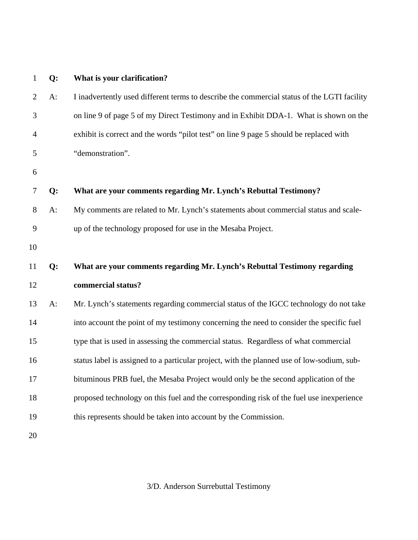| $\mathbf{1}$   | Q:    | What is your clarification?                                                                 |
|----------------|-------|---------------------------------------------------------------------------------------------|
| $\overline{2}$ | $A$ : | I inadvertently used different terms to describe the commercial status of the LGTI facility |
| 3              |       | on line 9 of page 5 of my Direct Testimony and in Exhibit DDA-1. What is shown on the       |
| $\overline{4}$ |       | exhibit is correct and the words "pilot test" on line 9 page 5 should be replaced with      |
| 5              |       | "demonstration".                                                                            |
| 6              |       |                                                                                             |
| 7              | $Q$ : | What are your comments regarding Mr. Lynch's Rebuttal Testimony?                            |
| 8              | $A$ : | My comments are related to Mr. Lynch's statements about commercial status and scale-        |
| 9              |       | up of the technology proposed for use in the Mesaba Project.                                |
| 10             |       |                                                                                             |
|                |       |                                                                                             |
| 11             | Q:    | What are your comments regarding Mr. Lynch's Rebuttal Testimony regarding                   |
| 12             |       | commercial status?                                                                          |
| 13             | $A$ : | Mr. Lynch's statements regarding commercial status of the IGCC technology do not take       |
| 14             |       | into account the point of my testimony concerning the need to consider the specific fuel    |
| 15             |       | type that is used in assessing the commercial status. Regardless of what commercial         |
| 16             |       | status label is assigned to a particular project, with the planned use of low-sodium, sub-  |
| 17             |       | bituminous PRB fuel, the Mesaba Project would only be the second application of the         |
| 18             |       | proposed technology on this fuel and the corresponding risk of the fuel use inexperience    |
| 19             |       | this represents should be taken into account by the Commission.                             |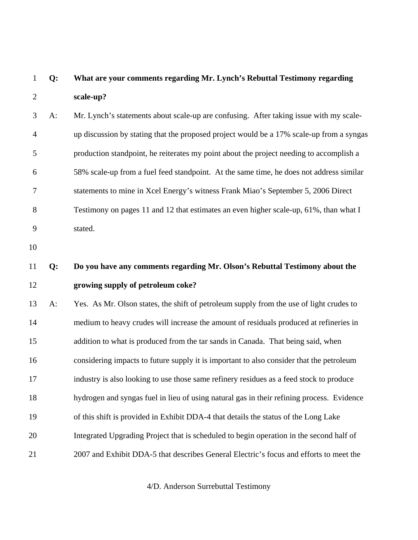# 1 **Q: What are your comments regarding Mr. Lynch's Rebuttal Testimony regarding**  2 **scale-up?**

3 A: Mr. Lynch's statements about scale-up are confusing. After taking issue with my scale-4 up discussion by stating that the proposed project would be a 17% scale-up from a syngas 5 production standpoint, he reiterates my point about the project needing to accomplish a 6 58% scale-up from a fuel feed standpoint. At the same time, he does not address similar 7 statements to mine in Xcel Energy's witness Frank Miao's September 5, 2006 Direct 8 Testimony on pages 11 and 12 that estimates an even higher scale-up, 61%, than what I 9 stated.

10

# 11 **Q: Do you have any comments regarding Mr. Olson's Rebuttal Testimony about the**  12 **growing supply of petroleum coke?**

13 A: Yes. As Mr. Olson states, the shift of petroleum supply from the use of light crudes to 14 medium to heavy crudes will increase the amount of residuals produced at refineries in 15 addition to what is produced from the tar sands in Canada. That being said, when 16 considering impacts to future supply it is important to also consider that the petroleum 17 industry is also looking to use those same refinery residues as a feed stock to produce 18 hydrogen and syngas fuel in lieu of using natural gas in their refining process. Evidence 19 of this shift is provided in Exhibit DDA-4 that details the status of the Long Lake 20 Integrated Upgrading Project that is scheduled to begin operation in the second half of 21 2007 and Exhibit DDA-5 that describes General Electric's focus and efforts to meet the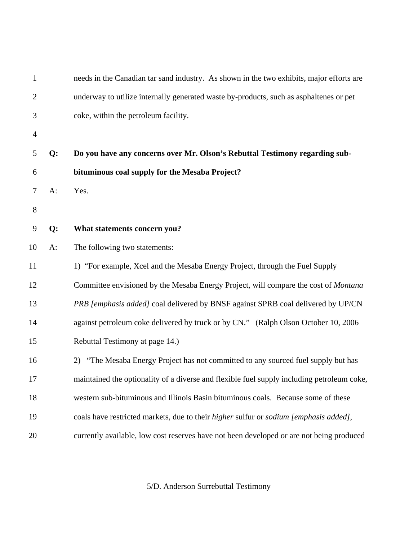|       | needs in the Canadian tar sand industry. As shown in the two exhibits, major efforts are   |
|-------|--------------------------------------------------------------------------------------------|
|       | underway to utilize internally generated waste by-products, such as asphaltenes or pet     |
|       | coke, within the petroleum facility.                                                       |
|       |                                                                                            |
| Q:    | Do you have any concerns over Mr. Olson's Rebuttal Testimony regarding sub-                |
|       | bituminous coal supply for the Mesaba Project?                                             |
| $A$ : | Yes.                                                                                       |
|       |                                                                                            |
| Q:    | What statements concern you?                                                               |
| $A$ : | The following two statements:                                                              |
|       | 1) "For example, Xcel and the Mesaba Energy Project, through the Fuel Supply               |
|       | Committee envisioned by the Mesaba Energy Project, will compare the cost of <i>Montana</i> |
|       | PRB [emphasis added] coal delivered by BNSF against SPRB coal delivered by UP/CN           |
|       | against petroleum coke delivered by truck or by CN." (Ralph Olson October 10, 2006)        |
|       | Rebuttal Testimony at page 14.)                                                            |
|       | "The Mesaba Energy Project has not committed to any sourced fuel supply but has<br>2)      |
|       | maintained the optionality of a diverse and flexible fuel supply including petroleum coke, |
|       | western sub-bituminous and Illinois Basin bituminous coals. Because some of these          |
|       | coals have restricted markets, due to their higher sulfur or sodium [emphasis added],      |
|       | currently available, low cost reserves have not been developed or are not being produced   |
|       |                                                                                            |